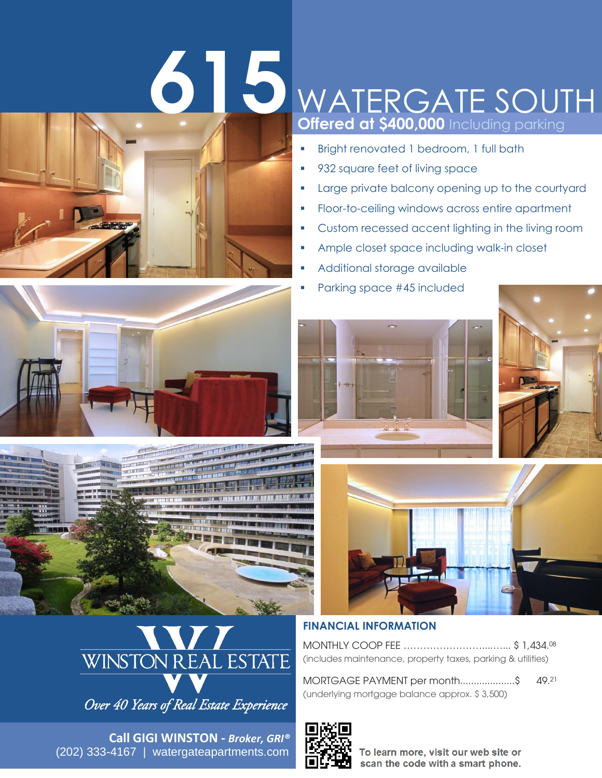# **615**



## J **Offered at \$400,000** Including parking WATERGATE SOUTH

- **Bright renovated 1 bedroom, 1 full bath**
- 932 square feet of living space
- **Large private balcony opening up to the courtyard**
- **Floor-to-ceiling windows across entire apartment**
- **•** Custom recessed accent lighting in the living room
- **Ample closet space including walk-in closet**
- Additional storage available
- Parking space #45 included







Over 40 Years of Real Estate Experience

(202) 333-4167 | watergateapartments.com **Call GIGI WINSTON -** *Broker, GRI®*







### **FINANCIAL INFORMATION**

MONTHLY COOP FEE ……………………....…... \$ 1,434. 08 (includes maintenance, property taxes, parking & utilities)

MORTGAGE PAYMENT per month....................\$ 49.21 (underlying mortgage balance approx. \$ 3,500)



To learn more, visit our web site or scan the code with a smart phone.